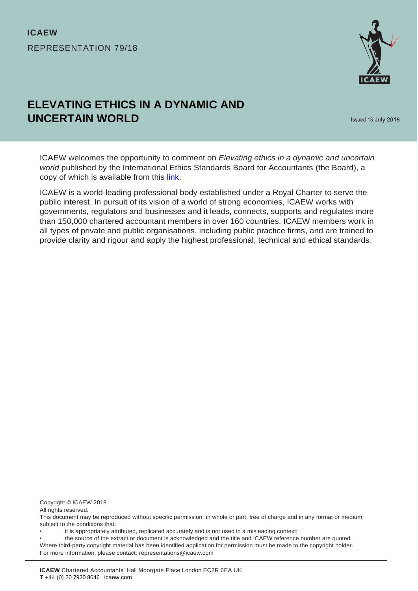

# **ELEVATING ETHICS IN A DYNAMIC AND UNCERTAIN WORLD**

Issued 13 July 2018

ICAEW welcomes the opportunity to comment on *Elevating ethics in a dynamic and uncertain world* published by the International Ethics Standards Board for Accountants (the Board), a copy of which is available from this [link.](http://www.ifac.org/publications-resources/consultation-paper-proposed-strategy-and-work-plan-2019-2023)

ICAEW is a world-leading professional body established under a Royal Charter to serve the public interest. In pursuit of its vision of a world of strong economies, ICAEW works with governments, regulators and businesses and it leads, connects, supports and regulates more than 150,000 chartered accountant members in over 160 countries. ICAEW members work in all types of private and public organisations, including public practice firms, and are trained to provide clarity and rigour and apply the highest professional, technical and ethical standards.

Copyright © ICAEW 2018

All rights reserved.

This document may be reproduced without specific permission, in whole or part, free of charge and in any format or medium, subject to the conditions that:

• it is appropriately attributed, replicated accurately and is not used in a misleading context;

• the source of the extract or document is acknowledged and the title and ICAEW reference number are quoted. Where third-party copyright material has been identified application for permission must be made to the copyright holder. For more information, please contact: representations@icaew.com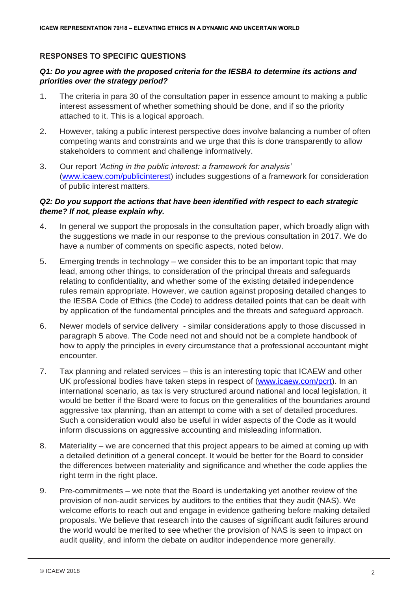## **RESPONSES TO SPECIFIC QUESTIONS**

## *Q1: Do you agree with the proposed criteria for the IESBA to determine its actions and priorities over the strategy period?*

- 1. The criteria in para 30 of the consultation paper in essence amount to making a public interest assessment of whether something should be done, and if so the priority attached to it. This is a logical approach.
- 2. However, taking a public interest perspective does involve balancing a number of often competing wants and constraints and we urge that this is done transparently to allow stakeholders to comment and challenge informatively.
- 3. Our report *'Acting in the public interest: a framework for analysis'*  [\(www.icaew.com/publicinterest\)](http://www.icaew.com/publicinterest) includes suggestions of a framework for consideration of public interest matters.

#### *Q2: Do you support the actions that have been identified with respect to each strategic theme? If not, please explain why.*

- 4. In general we support the proposals in the consultation paper, which broadly align with the suggestions we made in our response to the previous consultation in 2017. We do have a number of comments on specific aspects, noted below.
- 5. Emerging trends in technology we consider this to be an important topic that may lead, among other things, to consideration of the principal threats and safeguards relating to confidentiality, and whether some of the existing detailed independence rules remain appropriate. However, we caution against proposing detailed changes to the IESBA Code of Ethics (the Code) to address detailed points that can be dealt with by application of the fundamental principles and the threats and safeguard approach.
- 6. Newer models of service delivery similar considerations apply to those discussed in paragraph 5 above. The Code need not and should not be a complete handbook of how to apply the principles in every circumstance that a professional accountant might encounter.
- 7. Tax planning and related services this is an interesting topic that ICAEW and other UK professional bodies have taken steps in respect of [\(www.icaew.com/pcrt\)](http://www.icaew.com/pcrt). In an international scenario, as tax is very structured around national and local legislation, it would be better if the Board were to focus on the generalities of the boundaries around aggressive tax planning, than an attempt to come with a set of detailed procedures. Such a consideration would also be useful in wider aspects of the Code as it would inform discussions on aggressive accounting and misleading information.
- 8. Materiality we are concerned that this project appears to be aimed at coming up with a detailed definition of a general concept. It would be better for the Board to consider the differences between materiality and significance and whether the code applies the right term in the right place.
- 9. Pre-commitments we note that the Board is undertaking yet another review of the provision of non-audit services by auditors to the entities that they audit (NAS). We welcome efforts to reach out and engage in evidence gathering before making detailed proposals. We believe that research into the causes of significant audit failures around the world would be merited to see whether the provision of NAS is seen to impact on audit quality, and inform the debate on auditor independence more generally.